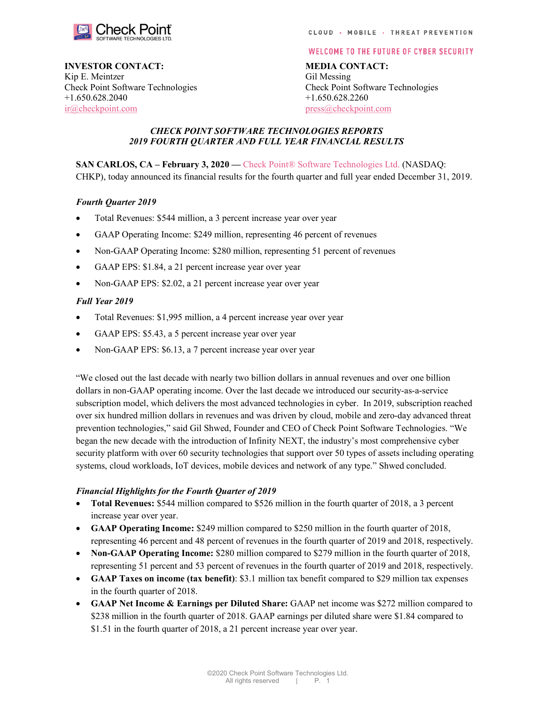

## INVESTOR CONTACT: MEDIA CONTACT:

Kip E. Meintzer Gil Messing +1.650.628.2040 +1.650.628.2260 ir@checkpoint.com press@checkpoint.com

#### **WELCOME TO THE FUTURE OF CYBER SECURITY**

Check Point Software Technologies Check Point Software Technologies

### CHECK POINT SOFTWARE TECHNOLOGIES REPORTS 2019 FOURTH QUARTER AND FULL YEAR FINANCIAL RESULTS

SAN CARLOS, CA – February 3, 2020 — Check Point® Software Technologies Ltd. (NASDAQ: CHKP), today announced its financial results for the fourth quarter and full year ended December 31, 2019.

### Fourth Quarter 2019

- Total Revenues: \$544 million, a 3 percent increase year over year
- GAAP Operating Income: \$249 million, representing 46 percent of revenues
- Non-GAAP Operating Income: \$280 million, representing 51 percent of revenues
- GAAP EPS: \$1.84, a 21 percent increase year over year
- Non-GAAP EPS: \$2.02, a 21 percent increase year over year

### Full Year 2019

- Total Revenues: \$1,995 million, a 4 percent increase year over year
- GAAP EPS: \$5.43, a 5 percent increase year over year
- Non-GAAP EPS: \$6.13, a 7 percent increase year over year

"We closed out the last decade with nearly two billion dollars in annual revenues and over one billion dollars in non-GAAP operating income. Over the last decade we introduced our security-as-a-service subscription model, which delivers the most advanced technologies in cyber. In 2019, subscription reached over six hundred million dollars in revenues and was driven by cloud, mobile and zero-day advanced threat prevention technologies," said Gil Shwed, Founder and CEO of Check Point Software Technologies. "We began the new decade with the introduction of Infinity NEXT, the industry's most comprehensive cyber security platform with over 60 security technologies that support over 50 types of assets including operating systems, cloud workloads, IoT devices, mobile devices and network of any type." Shwed concluded.

### Financial Highlights for the Fourth Quarter of 2019

- Total Revenues: \$544 million compared to \$526 million in the fourth quarter of 2018, a 3 percent increase year over year.
- GAAP Operating Income: \$249 million compared to \$250 million in the fourth quarter of 2018, representing 46 percent and 48 percent of revenues in the fourth quarter of 2019 and 2018, respectively.
- Non-GAAP Operating Income: \$280 million compared to \$279 million in the fourth quarter of 2018, representing 51 percent and 53 percent of revenues in the fourth quarter of 2019 and 2018, respectively.
- GAAP Taxes on income (tax benefit): \$3.1 million tax benefit compared to \$29 million tax expenses in the fourth quarter of 2018.
- GAAP Net Income & Earnings per Diluted Share: GAAP net income was \$272 million compared to \$238 million in the fourth quarter of 2018. GAAP earnings per diluted share were \$1.84 compared to \$1.51 in the fourth quarter of 2018, a 21 percent increase year over year.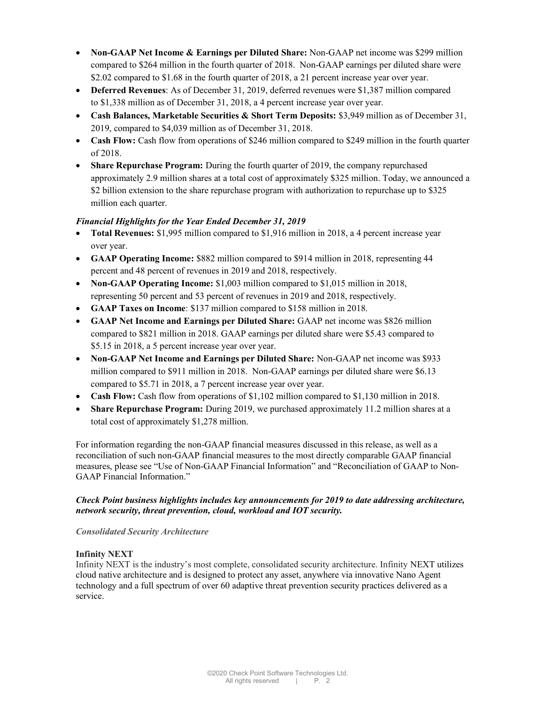- Non-GAAP Net Income & Earnings per Diluted Share: Non-GAAP net income was \$299 million compared to \$264 million in the fourth quarter of 2018. Non-GAAP earnings per diluted share were \$2.02 compared to \$1.68 in the fourth quarter of 2018, a 21 percent increase year over year.
- Deferred Revenues: As of December 31, 2019, deferred revenues were \$1,387 million compared to \$1,338 million as of December 31, 2018, a 4 percent increase year over year.
- Cash Balances, Marketable Securities & Short Term Deposits: \$3,949 million as of December 31, 2019, compared to \$4,039 million as of December 31, 2018.
- Cash Flow: Cash flow from operations of \$246 million compared to \$249 million in the fourth quarter of 2018.
- Share Repurchase Program: During the fourth quarter of 2019, the company repurchased approximately 2.9 million shares at a total cost of approximately \$325 million. Today, we announced a \$2 billion extension to the share repurchase program with authorization to repurchase up to \$325 million each quarter.

## Financial Highlights for the Year Ended December 31, 2019

- Total Revenues: \$1,995 million compared to \$1,916 million in 2018, a 4 percent increase year over year.
- GAAP Operating Income: \$882 million compared to \$914 million in 2018, representing 44 percent and 48 percent of revenues in 2019 and 2018, respectively.
- Non-GAAP Operating Income: \$1,003 million compared to \$1,015 million in 2018, representing 50 percent and 53 percent of revenues in 2019 and 2018, respectively.
- GAAP Taxes on Income: \$137 million compared to \$158 million in 2018.
- GAAP Net Income and Earnings per Diluted Share: GAAP net income was \$826 million compared to \$821 million in 2018. GAAP earnings per diluted share were \$5.43 compared to \$5.15 in 2018, a 5 percent increase year over year.
- Non-GAAP Net Income and Earnings per Diluted Share: Non-GAAP net income was \$933 million compared to \$911 million in 2018. Non-GAAP earnings per diluted share were \$6.13 compared to \$5.71 in 2018, a 7 percent increase year over year.
- Cash Flow: Cash flow from operations of \$1,102 million compared to \$1,130 million in 2018.
- Share Repurchase Program: During 2019, we purchased approximately 11.2 million shares at a total cost of approximately \$1,278 million.

For information regarding the non-GAAP financial measures discussed in this release, as well as a reconciliation of such non-GAAP financial measures to the most directly comparable GAAP financial measures, please see "Use of Non-GAAP Financial Information" and "Reconciliation of GAAP to Non-GAAP Financial Information."

## Check Point business highlights includes key announcements for 2019 to date addressing architecture, network security, threat prevention, cloud, workload and IOT security.

## Consolidated Security Architecture

## Infinity NEXT

Infinity NEXT is the industry's most complete, consolidated security architecture. Infinity NEXT utilizes cloud native architecture and is designed to protect any asset, anywhere via innovative Nano Agent technology and a full spectrum of over 60 adaptive threat prevention security practices delivered as a service.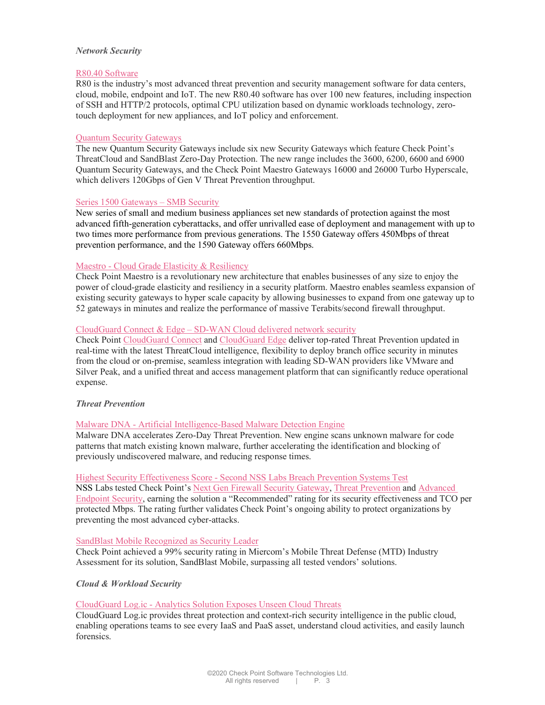#### Network Security

#### R80.40 Software

R80 is the industry's most advanced threat prevention and security management software for data centers, cloud, mobile, endpoint and IoT. The new R80.40 software has over 100 new features, including inspection of SSH and HTTP/2 protocols, optimal CPU utilization based on dynamic workloads technology, zerotouch deployment for new appliances, and IoT policy and enforcement.

#### Quantum Security Gateways

The new Quantum Security Gateways include six new Security Gateways which feature Check Point's ThreatCloud and SandBlast Zero-Day Protection. The new range includes the 3600, 6200, 6600 and 6900 Quantum Security Gateways, and the Check Point Maestro Gateways 16000 and 26000 Turbo Hyperscale, which delivers 120Gbps of Gen V Threat Prevention throughput.

#### Series 1500 Gateways – SMB Security

New series of small and medium business appliances set new standards of protection against the most advanced fifth-generation cyberattacks, and offer unrivalled ease of deployment and management with up to two times more performance from previous generations. The 1550 Gateway offers 450Mbps of threat prevention performance, and the 1590 Gateway offers 660Mbps.

#### Maestro - Cloud Grade Elasticity & Resiliency

Check Point Maestro is a revolutionary new architecture that enables businesses of any size to enjoy the power of cloud-grade elasticity and resiliency in a security platform. Maestro enables seamless expansion of existing security gateways to hyper scale capacity by allowing businesses to expand from one gateway up to 52 gateways in minutes and realize the performance of massive Terabits/second firewall throughput.

#### CloudGuard Connect & Edge – SD-WAN Cloud delivered network security

Check Point CloudGuard Connect and CloudGuard Edge deliver top-rated Threat Prevention updated in real-time with the latest ThreatCloud intelligence, flexibility to deploy branch office security in minutes from the cloud or on-premise, seamless integration with leading SD-WAN providers like VMware and Silver Peak, and a unified threat and access management platform that can significantly reduce operational expense.

### Threat Prevention

### Malware DNA - Artificial Intelligence-Based Malware Detection Engine

Malware DNA accelerates Zero-Day Threat Prevention. New engine scans unknown malware for code patterns that match existing known malware, further accelerating the identification and blocking of previously undiscovered malware, and reducing response times.

### Highest Security Effectiveness Score - Second NSS Labs Breach Prevention Systems Test

NSS Labs tested Check Point's Next Gen Firewall Security Gateway, Threat Prevention and Advanced Endpoint Security, earning the solution a "Recommended" rating for its security effectiveness and TCO per protected Mbps. The rating further validates Check Point's ongoing ability to protect organizations by preventing the most advanced cyber-attacks.

### SandBlast Mobile Recognized as Security Leader

Check Point achieved a 99% security rating in Miercom's Mobile Threat Defense (MTD) Industry Assessment for its solution, SandBlast Mobile, surpassing all tested vendors' solutions.

### Cloud & Workload Security

### CloudGuard Log.ic - Analytics Solution Exposes Unseen Cloud Threats

CloudGuard Log.ic provides threat protection and context-rich security intelligence in the public cloud, enabling operations teams to see every IaaS and PaaS asset, understand cloud activities, and easily launch forensics.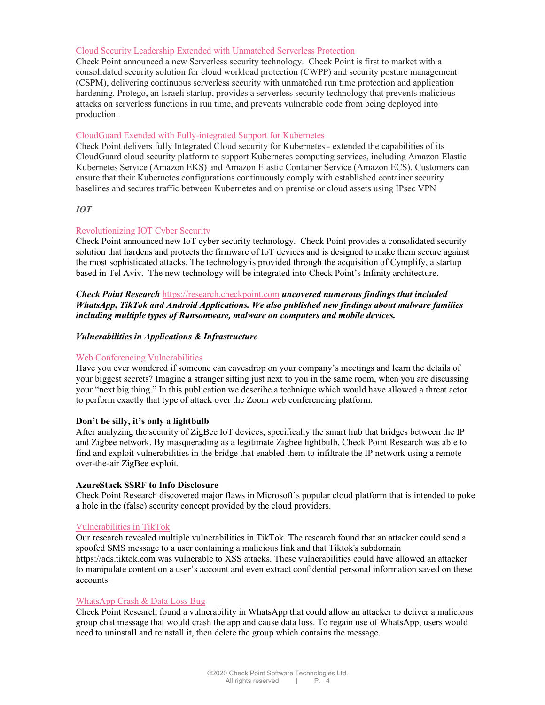### Cloud Security Leadership Extended with Unmatched Serverless Protection

Check Point announced a new Serverless security technology. Check Point is first to market with a consolidated security solution for cloud workload protection (CWPP) and security posture management (CSPM), delivering continuous serverless security with unmatched run time protection and application hardening. Protego, an Israeli startup, provides a serverless security technology that prevents malicious attacks on serverless functions in run time, and prevents vulnerable code from being deployed into production.

### CloudGuard Exended with Fully-integrated Support for Kubernetes

Check Point delivers fully Integrated Cloud security for Kubernetes - extended the capabilities of its CloudGuard cloud security platform to support Kubernetes computing services, including Amazon Elastic Kubernetes Service (Amazon EKS) and Amazon Elastic Container Service (Amazon ECS). Customers can ensure that their Kubernetes configurations continuously comply with established container security baselines and secures traffic between Kubernetes and on premise or cloud assets using IPsec VPN

#### IOT

#### Revolutionizing IOT Cyber Security

Check Point announced new IoT cyber security technology. Check Point provides a consolidated security solution that hardens and protects the firmware of IoT devices and is designed to make them secure against the most sophisticated attacks. The technology is provided through the acquisition of Cymplify, a startup based in Tel Aviv. The new technology will be integrated into Check Point's Infinity architecture.

**Check Point Research https://research.checkpoint.com uncovered numerous findings that included** WhatsApp, TikTok and Android Applications. We also published new findings about malware families including multiple types of Ransomware, malware on computers and mobile devices.

#### Vulnerabilities in Applications & Infrastructure

### Web Conferencing Vulnerabilities

Have you ever wondered if someone can eavesdrop on your company's meetings and learn the details of your biggest secrets? Imagine a stranger sitting just next to you in the same room, when you are discussing your "next big thing." In this publication we describe a technique which would have allowed a threat actor to perform exactly that type of attack over the Zoom web conferencing platform.

#### Don't be silly, it's only a lightbulb

After analyzing the security of ZigBee IoT devices, specifically the smart hub that bridges between the IP and Zigbee network. By masquerading as a legitimate Zigbee lightbulb, Check Point Research was able to find and exploit vulnerabilities in the bridge that enabled them to infiltrate the IP network using a remote over-the-air ZigBee exploit.

#### AzureStack SSRF to Info Disclosure

Check Point Research discovered major flaws in Microsoft`s popular cloud platform that is intended to poke a hole in the (false) security concept provided by the cloud providers.

#### Vulnerabilities in TikTok

Our research revealed multiple vulnerabilities in TikTok. The research found that an attacker could send a spoofed SMS message to a user containing a malicious link and that Tiktok's subdomain https://ads.tiktok.com was vulnerable to XSS attacks. These vulnerabilities could have allowed an attacker to manipulate content on a user's account and even extract confidential personal information saved on these accounts.

#### WhatsApp Crash & Data Loss Bug

Check Point Research found a vulnerability in WhatsApp that could allow an attacker to deliver a malicious group chat message that would crash the app and cause data loss. To regain use of WhatsApp, users would need to uninstall and reinstall it, then delete the group which contains the message.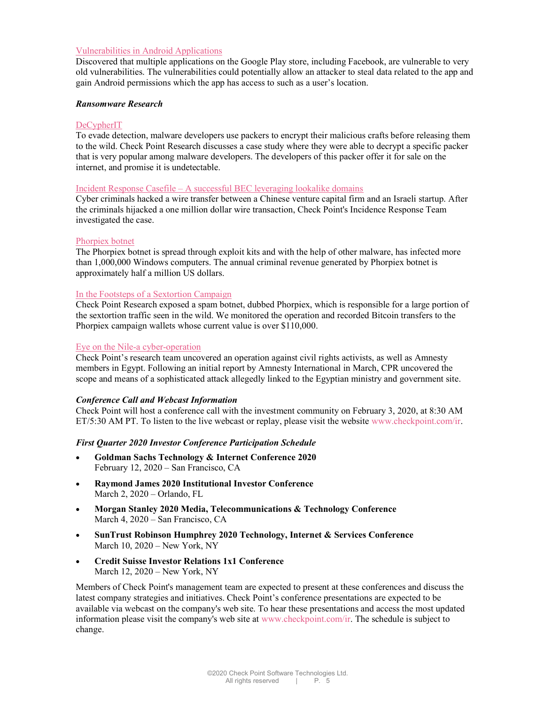### Vulnerabilities in Android Applications

Discovered that multiple applications on the Google Play store, including Facebook, are vulnerable to very old vulnerabilities. The vulnerabilities could potentially allow an attacker to steal data related to the app and gain Android permissions which the app has access to such as a user's location.

#### Ransomware Research

### DeCypherIT

To evade detection, malware developers use packers to encrypt their malicious crafts before releasing them to the wild. Check Point Research discusses a case study where they were able to decrypt a specific packer that is very popular among malware developers. The developers of this packer offer it for sale on the internet, and promise it is undetectable.

#### Incident Response Casefile – A successful BEC leveraging lookalike domains

Cyber criminals hacked a wire transfer between a Chinese venture capital firm and an Israeli startup. After the criminals hijacked a one million dollar wire transaction, Check Point's Incidence Response Team investigated the case.

#### Phorpiex botnet

The Phorpiex botnet is spread through exploit kits and with the help of other malware, has infected more than 1,000,000 Windows computers. The annual criminal revenue generated by Phorpiex botnet is approximately half a million US dollars.

### In the Footsteps of a Sextortion Campaign

Check Point Research exposed a spam botnet, dubbed Phorpiex, which is responsible for a large portion of the sextortion traffic seen in the wild. We monitored the operation and recorded Bitcoin transfers to the Phorpiex campaign wallets whose current value is over \$110,000.

#### Eye on the Nile-a cyber-operation

Check Point's research team uncovered an operation against civil rights activists, as well as Amnesty members in Egypt. Following an initial report by Amnesty International in March, CPR uncovered the scope and means of a sophisticated attack allegedly linked to the Egyptian ministry and government site.

### Conference Call and Webcast Information

Check Point will host a conference call with the investment community on February 3, 2020, at 8:30 AM ET/5:30 AM PT. To listen to the live webcast or replay, please visit the website www.checkpoint.com/ir.

### First Quarter 2020 Investor Conference Participation Schedule

- Goldman Sachs Technology & Internet Conference 2020 February 12, 2020 – San Francisco, CA
- Raymond James 2020 Institutional Investor Conference March 2, 2020 – Orlando, FL
- Morgan Stanley 2020 Media, Telecommunications & Technology Conference March 4, 2020 – San Francisco, CA
- SunTrust Robinson Humphrey 2020 Technology, Internet & Services Conference March 10, 2020 – New York, NY
- Credit Suisse Investor Relations 1x1 Conference March 12, 2020 – New York, NY

Members of Check Point's management team are expected to present at these conferences and discuss the latest company strategies and initiatives. Check Point's conference presentations are expected to be available via webcast on the company's web site. To hear these presentations and access the most updated information please visit the company's web site at www.checkpoint.com/ir. The schedule is subject to change.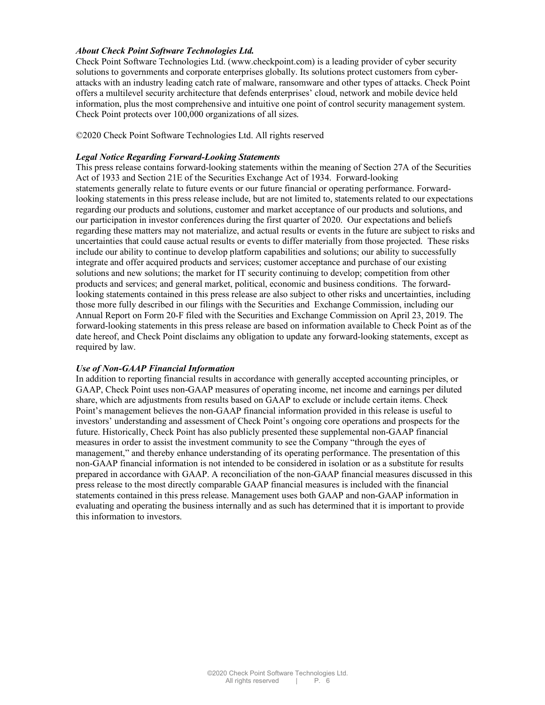#### About Check Point Software Technologies Ltd.

Check Point Software Technologies Ltd. (www.checkpoint.com) is a leading provider of cyber security solutions to governments and corporate enterprises globally. Its solutions protect customers from cyberattacks with an industry leading catch rate of malware, ransomware and other types of attacks. Check Point offers a multilevel security architecture that defends enterprises' cloud, network and mobile device held information, plus the most comprehensive and intuitive one point of control security management system. Check Point protects over 100,000 organizations of all sizes.

©2020 Check Point Software Technologies Ltd. All rights reserved

#### Legal Notice Regarding Forward-Looking Statements

This press release contains forward-looking statements within the meaning of Section 27A of the Securities Act of 1933 and Section 21E of the Securities Exchange Act of 1934. Forward-looking statements generally relate to future events or our future financial or operating performance. Forwardlooking statements in this press release include, but are not limited to, statements related to our expectations regarding our products and solutions, customer and market acceptance of our products and solutions, and our participation in investor conferences during the first quarter of 2020. Our expectations and beliefs regarding these matters may not materialize, and actual results or events in the future are subject to risks and uncertainties that could cause actual results or events to differ materially from those projected. These risks include our ability to continue to develop platform capabilities and solutions; our ability to successfully integrate and offer acquired products and services; customer acceptance and purchase of our existing solutions and new solutions; the market for IT security continuing to develop; competition from other products and services; and general market, political, economic and business conditions. The forwardlooking statements contained in this press release are also subject to other risks and uncertainties, including those more fully described in our filings with the Securities and Exchange Commission, including our Annual Report on Form 20-F filed with the Securities and Exchange Commission on April 23, 2019. The forward-looking statements in this press release are based on information available to Check Point as of the date hereof, and Check Point disclaims any obligation to update any forward-looking statements, except as required by law.

#### Use of Non-GAAP Financial Information

In addition to reporting financial results in accordance with generally accepted accounting principles, or GAAP, Check Point uses non-GAAP measures of operating income, net income and earnings per diluted share, which are adjustments from results based on GAAP to exclude or include certain items. Check Point's management believes the non-GAAP financial information provided in this release is useful to investors' understanding and assessment of Check Point's ongoing core operations and prospects for the future. Historically, Check Point has also publicly presented these supplemental non-GAAP financial measures in order to assist the investment community to see the Company "through the eyes of management," and thereby enhance understanding of its operating performance. The presentation of this non-GAAP financial information is not intended to be considered in isolation or as a substitute for results prepared in accordance with GAAP. A reconciliation of the non-GAAP financial measures discussed in this press release to the most directly comparable GAAP financial measures is included with the financial statements contained in this press release. Management uses both GAAP and non-GAAP information in evaluating and operating the business internally and as such has determined that it is important to provide this information to investors.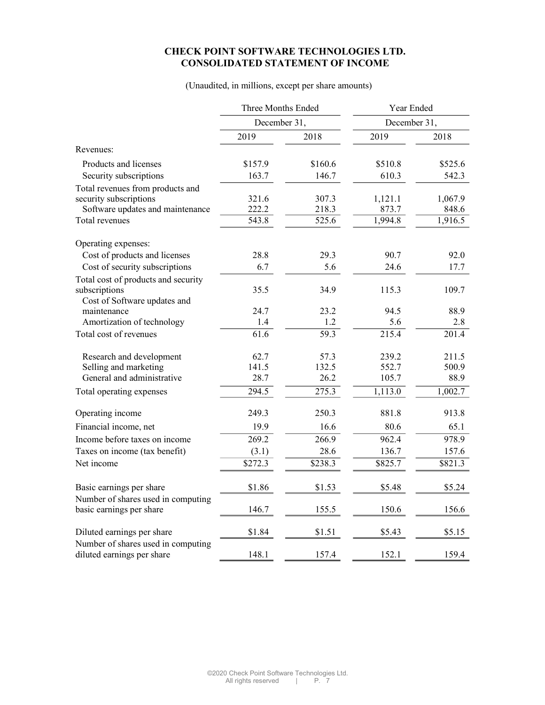# CHECK POINT SOFTWARE TECHNOLOGIES LTD. CONSOLIDATED STATEMENT OF INCOME

### (Unaudited, in millions, except per share amounts)

|                                     | Three Months Ended |         | Year Ended   |         |
|-------------------------------------|--------------------|---------|--------------|---------|
|                                     | December 31,       |         | December 31, |         |
|                                     | 2019               | 2018    | 2019         | 2018    |
| Revenues:                           |                    |         |              |         |
| Products and licenses               | \$157.9            | \$160.6 | \$510.8      | \$525.6 |
| Security subscriptions              | 163.7              | 146.7   | 610.3        | 542.3   |
| Total revenues from products and    |                    |         |              |         |
| security subscriptions              | 321.6              | 307.3   | 1,121.1      | 1,067.9 |
| Software updates and maintenance    | 222.2              | 218.3   | 873.7        | 848.6   |
| Total revenues                      | 543.8              | 525.6   | 1,994.8      | 1,916.5 |
| Operating expenses:                 |                    |         |              |         |
| Cost of products and licenses       | 28.8               | 29.3    | 90.7         | 92.0    |
| Cost of security subscriptions      | 6.7                | 5.6     | 24.6         | 17.7    |
| Total cost of products and security |                    |         |              |         |
| subscriptions                       | 35.5               | 34.9    | 115.3        | 109.7   |
| Cost of Software updates and        |                    |         |              |         |
| maintenance                         | 24.7               | 23.2    | 94.5         | 88.9    |
| Amortization of technology          | 1.4                | 1.2     | 5.6          | 2.8     |
| Total cost of revenues              | 61.6               | 59.3    | 215.4        | 201.4   |
| Research and development            | 62.7               | 57.3    | 239.2        | 211.5   |
| Selling and marketing               | 141.5              | 132.5   | 552.7        | 500.9   |
| General and administrative          | 28.7               | 26.2    | 105.7        | 88.9    |
| Total operating expenses            | 294.5              | 275.3   | 1,113.0      | 1,002.7 |
| Operating income                    | 249.3              | 250.3   | 881.8        | 913.8   |
| Financial income, net               | 19.9               | 16.6    | 80.6         | 65.1    |
| Income before taxes on income       | 269.2              | 266.9   | 962.4        | 978.9   |
| Taxes on income (tax benefit)       | (3.1)              | 28.6    | 136.7        | 157.6   |
| Net income                          | \$272.3            | \$238.3 | \$825.7      | \$821.3 |
| Basic earnings per share            | \$1.86             | \$1.53  | \$5.48       | \$5.24  |
| Number of shares used in computing  |                    |         |              |         |
| basic earnings per share            | 146.7              | 155.5   | 150.6        | 156.6   |
| Diluted earnings per share          | \$1.84             | \$1.51  | \$5.43       | \$5.15  |
| Number of shares used in computing  |                    |         |              |         |
| diluted earnings per share          | 148.1              | 157.4   | 152.1        | 159.4   |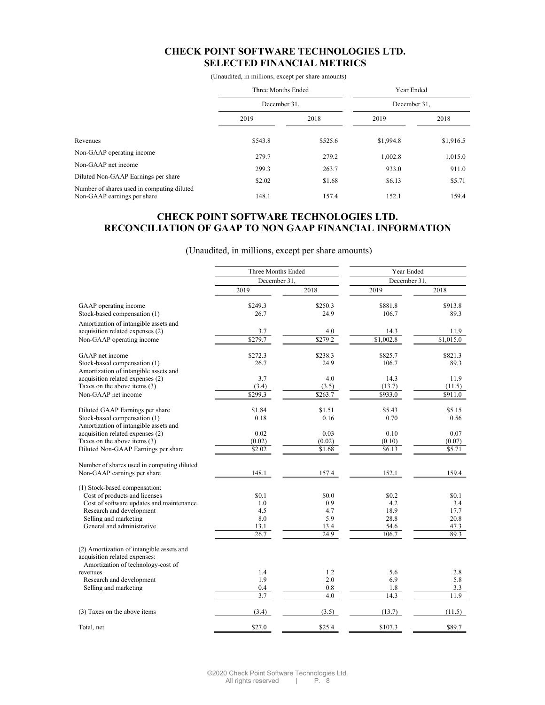## CHECK POINT SOFTWARE TECHNOLOGIES LTD. SELECTED FINANCIAL METRICS

(Unaudited, in millions, except per share amounts)

|                                                                           | Three Months Ended<br>December 31, |         | Year Ended<br>December 31, |           |
|---------------------------------------------------------------------------|------------------------------------|---------|----------------------------|-----------|
|                                                                           |                                    |         |                            |           |
|                                                                           | 2019                               | 2018    | 2019                       | 2018      |
| Revenues                                                                  | \$543.8                            | \$525.6 | \$1,994.8                  | \$1,916.5 |
| Non-GAAP operating income                                                 | 279.7                              | 279.2   | 1,002.8                    | 1,015.0   |
| Non-GAAP net income                                                       | 299.3                              | 263.7   | 933.0                      | 911.0     |
| Diluted Non-GAAP Earnings per share                                       | \$2.02                             | \$1.68  | \$6.13                     | \$5.71    |
| Number of shares used in computing diluted<br>Non-GAAP earnings per share | 148.1                              | 157.4   | 152.1                      | 159.4     |

## CHECK POINT SOFTWARE TECHNOLOGIES LTD. RECONCILIATION OF GAAP TO NON GAAP FINANCIAL INFORMATION

(Unaudited, in millions, except per share amounts)

|                                                                                                                  | Three Months Ended |         | Year Ended   |           |
|------------------------------------------------------------------------------------------------------------------|--------------------|---------|--------------|-----------|
|                                                                                                                  | December 31,       |         | December 31. |           |
|                                                                                                                  | 2019               | 2018    | 2019         | 2018      |
| GAAP operating income                                                                                            | \$249.3            | \$250.3 | \$881.8      | \$913.8   |
| Stock-based compensation (1)                                                                                     | 26.7               | 24.9    | 106.7        | 89.3      |
| Amortization of intangible assets and                                                                            |                    |         |              |           |
| acquisition related expenses (2)                                                                                 | 3.7                | 4.0     | 14.3         | 11.9      |
| Non-GAAP operating income                                                                                        | \$279.7            | \$279.2 | \$1,002.8    | \$1,015.0 |
| GAAP net income                                                                                                  | \$272.3            | \$238.3 | \$825.7      | \$821.3   |
| Stock-based compensation (1)                                                                                     | 26.7               | 24.9    | 106.7        | 89.3      |
| Amortization of intangible assets and                                                                            |                    |         |              |           |
| acquisition related expenses (2)                                                                                 | 3.7                | 4.0     | 14.3         | 11.9      |
| Taxes on the above items (3)                                                                                     | (3.4)              | (3.5)   | (13.7)       | (11.5)    |
| Non-GAAP net income                                                                                              | \$299.3            | \$263.7 | \$933.0      | \$911.0   |
| Diluted GAAP Earnings per share                                                                                  | \$1.84             | \$1.51  | \$5.43       | \$5.15    |
| Stock-based compensation (1)                                                                                     | 0.18               | 0.16    | 0.70         | 0.56      |
| Amortization of intangible assets and                                                                            |                    |         |              |           |
| acquisition related expenses (2)                                                                                 | 0.02               | 0.03    | 0.10         | 0.07      |
| Taxes on the above items (3)                                                                                     | (0.02)             | (0.02)  | (0.10)       | (0.07)    |
| Diluted Non-GAAP Earnings per share                                                                              | \$2.02             | \$1.68  | \$6.13       | \$5.71    |
| Number of shares used in computing diluted                                                                       |                    |         |              |           |
| Non-GAAP earnings per share                                                                                      | 148.1              | 157.4   | 152.1        | 159.4     |
| (1) Stock-based compensation:                                                                                    |                    |         |              |           |
| Cost of products and licenses                                                                                    | \$0.1              | \$0.0   | \$0.2        | \$0.1     |
| Cost of software updates and maintenance                                                                         | 1.0                | 0.9     | 4.2          | 3.4       |
| Research and development                                                                                         | 4.5                | 4.7     | 18.9         | 17.7      |
| Selling and marketing                                                                                            | 8.0                | 5.9     | 28.8         | 20.8      |
| General and administrative                                                                                       | 13.1               | 13.4    | 54.6         | 47.3      |
|                                                                                                                  | 26.7               | 24.9    | 106.7        | 89.3      |
| (2) Amortization of intangible assets and<br>acquisition related expenses:<br>Amortization of technology-cost of |                    |         |              |           |
| revenues                                                                                                         | 1.4                | 1.2     | 5.6          | 2.8       |
| Research and development                                                                                         | 1.9                | 2.0     | 6.9          | 5.8       |
| Selling and marketing                                                                                            | 0.4                | 0.8     | 1.8          | 3.3       |
|                                                                                                                  | 3.7                | 4.0     | 14.3         | 11.9      |
|                                                                                                                  |                    |         |              |           |
| (3) Taxes on the above items                                                                                     | (3.4)              | (3.5)   | (13.7)       | (11.5)    |
| Total, net                                                                                                       | \$27.0             | \$25.4  | \$107.3      | \$89.7    |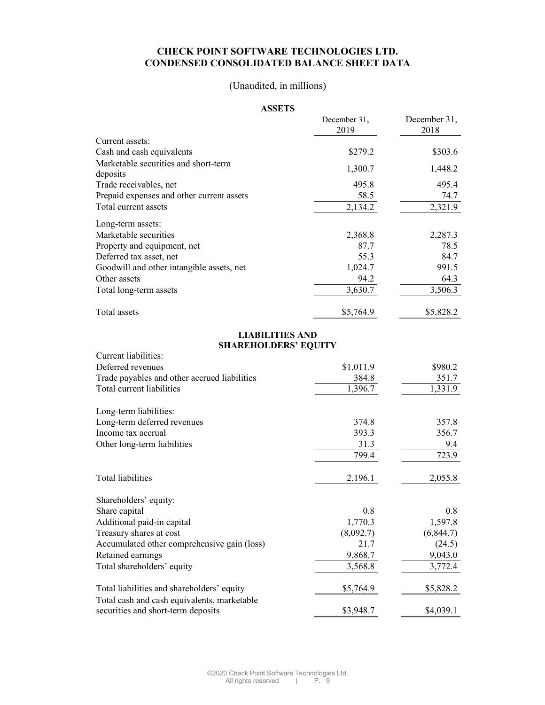## CHECK POINT SOFTWARE TECHNOLOGIES LTD. CONDENSED CONSOLIDATED BALANCE SHEET DATA

# (Unaudited, in millions)

## ASSETS

|                                                  | December 31, | December 31, |
|--------------------------------------------------|--------------|--------------|
|                                                  | 2019         | 2018         |
| Current assets:                                  |              |              |
| Cash and cash equivalents                        | \$279.2      | \$303.6      |
| Marketable securities and short-term<br>deposits | 1,300.7      | 1,448.2      |
| Trade receivables, net                           | 495.8        | 495.4        |
| Prepaid expenses and other current assets        | 58.5         | 74.7         |
| Total current assets                             | 2,134.2      | 2,321.9      |
| Long-term assets:                                |              |              |
| Marketable securities                            | 2,368.8      | 2,287.3      |
| Property and equipment, net                      | 87.7         | 78.5         |
| Deferred tax asset, net                          | 55.3         | 84.7         |
| Goodwill and other intangible assets, net        | 1,024.7      | 991.5        |
| Other assets                                     | 94.2         | 64.3         |
| Total long-term assets                           | 3,630.7      | 3,506.3      |
| Total assets                                     | \$5,764.9    | \$5,828.2    |

### LIABILITIES AND SHAREHOLDERS' EQUITY

| Current liabilities:                                                              |           |            |
|-----------------------------------------------------------------------------------|-----------|------------|
| Deferred revenues                                                                 | \$1,011.9 | \$980.2    |
| Trade payables and other accrued liabilities                                      | 384.8     | 351.7      |
| Total current liabilities                                                         | 1,396.7   | 1,331.9    |
| Long-term liabilities:                                                            |           |            |
| Long-term deferred revenues                                                       | 374.8     | 357.8      |
| Income tax accrual                                                                | 393.3     | 356.7      |
| Other long-term liabilities                                                       | 31.3      | 9.4        |
|                                                                                   | 799.4     | 723.9      |
| Total liabilities                                                                 | 2,196.1   | 2,055.8    |
| Shareholders' equity:                                                             |           |            |
| Share capital                                                                     | 0.8       | 0.8        |
| Additional paid-in capital                                                        | 1,770.3   | 1,597.8    |
| Treasury shares at cost                                                           | (8,092.7) | (6, 844.7) |
| Accumulated other comprehensive gain (loss)                                       | 21.7      | (24.5)     |
| Retained earnings                                                                 | 9,868.7   | 9,043.0    |
| Total shareholders' equity                                                        | 3,568.8   | 3,772.4    |
| Total liabilities and shareholders' equity                                        | \$5,764.9 | \$5,828.2  |
| Total cash and cash equivalents, marketable<br>securities and short-term deposits | \$3,948.7 | \$4,039.1  |